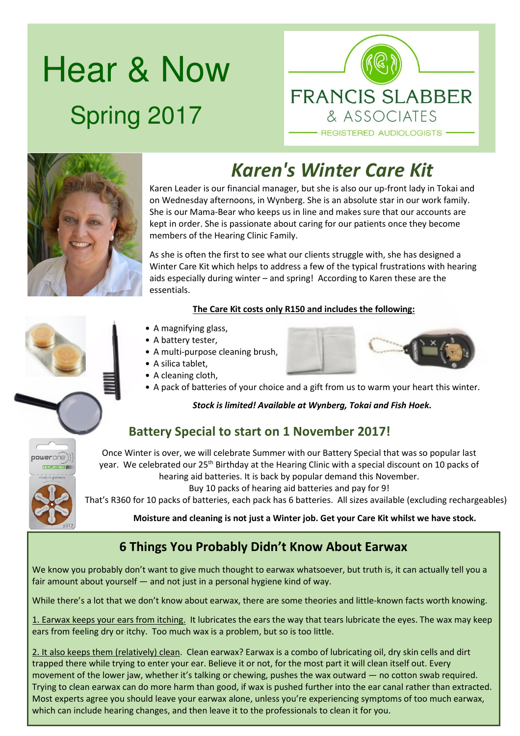# Hear & Now Spring 2017





# *Karen's Winter Care Kit*

Karen Leader is our financial manager, but she is also our up-front lady in Tokai and on Wednesday afternoons, in Wynberg. She is an absolute star in our work family. She is our Mama-Bear who keeps us in line and makes sure that our accounts are kept in order. She is passionate about caring for our patients once they become members of the Hearing Clinic Family.

As she is often the first to see what our clients struggle with, she has designed a Winter Care Kit which helps to address a few of the typical frustrations with hearing aids especially during winter – and spring! According to Karen these are the essentials.

### **The Care Kit costs only R150 and includes the following:**

- A magnifying glass,
- A battery tester,
- A multi-purpose cleaning brush,
- A silica tablet,
- A cleaning cloth,
- A pack of batteries of your choice and a gift from us to warm your heart this winter.

### *Stock is limited! Available at Wynberg, Tokai and Fish Hoek.*

### **Battery Special to start on 1 November 2017!**

Once Winter is over, we will celebrate Summer with our Battery Special that was so popular last year. We celebrated our 25th Birthday at the Hearing Clinic with a special discount on 10 packs of hearing aid batteries. It is back by popular demand this November.

Buy 10 packs of hearing aid batteries and pay for 9!

That's R360 for 10 packs of batteries, each pack has 6 batteries. All sizes available (excluding rechargeables)

**Moisture and cleaning is not just a Winter job. Get your Care Kit whilst we have stock.**

### **6 Things You Probably Didn't Know About Earwax**

We know you probably don't want to give much thought to earwax whatsoever, but truth is, it can actually tell you a fair amount about yourself — and not just in a personal hygiene kind of way.

While there's a lot that we don't know about earwax, there are some theories and little-known facts worth knowing.

1. Earwax keeps your ears from itching. It lubricates the ears the way that tears lubricate the eyes. The wax may keep ears from feeling dry or itchy. Too much wax is a problem, but so is too little.

2. It also keeps them (relatively) clean. Clean earwax? Earwax is a combo of lubricating oil, dry skin cells and dirt trapped there while trying to enter your ear. Believe it or not, for the most part it will clean itself out. Every movement of the lower jaw, whether it's talking or chewing, pushes the wax outward — no cotton swab required. Trying to clean earwax can do more harm than good, if wax is pushed further into the ear canal rather than extracted. Most experts agree you should leave your earwax alone, unless you're experiencing symptoms of too much earwax, which can include hearing changes, and then leave it to the professionals to clean it for you.